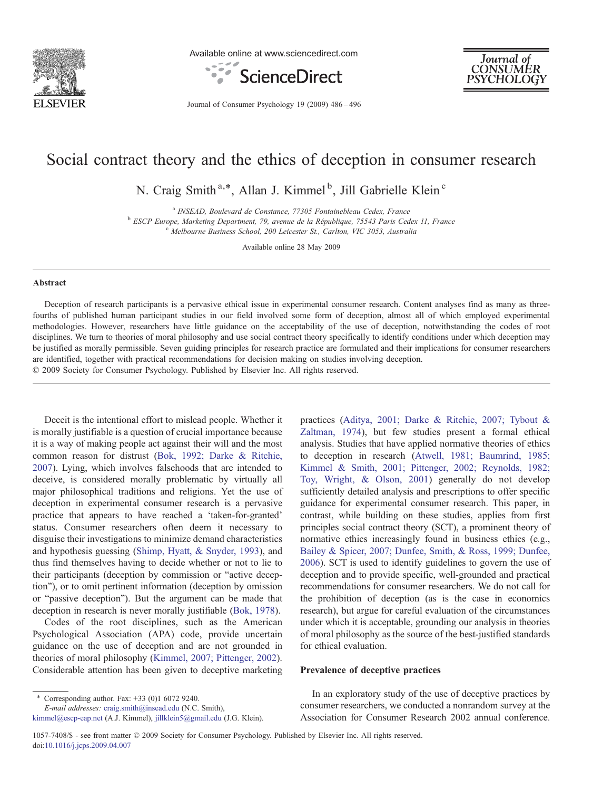

Available online at www.sciencedirect.com





Journal of Consumer Psychology 19 (2009) 486–496

## Social contract theory and the ethics of deception in consumer research

N. Craig Smith<sup>a,\*</sup>, Allan J. Kimmel<sup>b</sup>, Jill Gabrielle Klein<sup>c</sup>

<sup>a</sup> INSEAD, Boulevard de Constance, 77305 Fontainebleau Cedex, France<br><sup>b</sup> ESCP Europe, Marketing Department, 79, avenue de la République, 75543 Paris Cedex 11, France<br><sup>c</sup> Melbourne Business School, 200 Leicester St., Carlt

Available online 28 May 2009

#### Abstract

Deception of research participants is a pervasive ethical issue in experimental consumer research. Content analyses find as many as threefourths of published human participant studies in our field involved some form of deception, almost all of which employed experimental methodologies. However, researchers have little guidance on the acceptability of the use of deception, notwithstanding the codes of root disciplines. We turn to theories of moral philosophy and use social contract theory specifically to identify conditions under which deception may be justified as morally permissible. Seven guiding principles for research practice are formulated and their implications for consumer researchers are identified, together with practical recommendations for decision making on studies involving deception. © 2009 Society for Consumer Psychology. Published by Elsevier Inc. All rights reserved.

Deceit is the intentional effort to mislead people. Whether it is morally justifiable is a question of crucial importance because it is a way of making people act against their will and the most common reason for distrust [\(Bok, 1992; Darke & Ritchie,](#page--1-0) [2007\)](#page--1-0). Lying, which involves falsehoods that are intended to deceive, is considered morally problematic by virtually all major philosophical traditions and religions. Yet the use of deception in experimental consumer research is a pervasive practice that appears to have reached a 'taken-for-granted' status. Consumer researchers often deem it necessary to disguise their investigations to minimize demand characteristics and hypothesis guessing [\(Shimp, Hyatt, & Snyder, 1993\)](#page--1-0), and thus find themselves having to decide whether or not to lie to their participants (deception by commission or "active deception"), or to omit pertinent information (deception by omission or "passive deception"). But the argument can be made that deception in research is never morally justifiable [\(Bok, 1978](#page--1-0)).

Codes of the root disciplines, such as the American Psychological Association (APA) code, provide uncertain guidance on the use of deception and are not grounded in theories of moral philosophy [\(Kimmel, 2007; Pittenger, 2002](#page--1-0)). Considerable attention has been given to deceptive marketing

\* Corresponding author. Fax:  $+33$  (0)1 6072 9240.

E-mail addresses: [craig.smith@insead.edu](mailto:craig.smith@insead.edu) (N.C. Smith),

[kimmel@escp-eap.net](mailto:kimmel@escp-eap.net) (A.J. Kimmel), [jillklein5@gmail.edu](mailto:jillklein5@gmail.edu) (J.G. Klein).

practices ([Aditya, 2001; Darke & Ritchie, 2007; Tybout &](#page--1-0) [Zaltman, 1974](#page--1-0)), but few studies present a formal ethical analysis. Studies that have applied normative theories of ethics to deception in research ([Atwell, 1981; Baumrind, 1985;](#page--1-0) [Kimmel & Smith, 2001; Pittenger, 2002; Reynolds, 1982;](#page--1-0) [Toy, Wright, & Olson, 2001\)](#page--1-0) generally do not develop sufficiently detailed analysis and prescriptions to offer specific guidance for experimental consumer research. This paper, in contrast, while building on these studies, applies from first principles social contract theory (SCT), a prominent theory of normative ethics increasingly found in business ethics (e.g., [Bailey & Spicer, 2007; Dunfee, Smith, & Ross, 1999; Dunfee,](#page--1-0) [2006\)](#page--1-0). SCT is used to identify guidelines to govern the use of deception and to provide specific, well-grounded and practical recommendations for consumer researchers. We do not call for the prohibition of deception (as is the case in economics research), but argue for careful evaluation of the circumstances under which it is acceptable, grounding our analysis in theories of moral philosophy as the source of the best-justified standards for ethical evaluation.

### Prevalence of deceptive practices

In an exploratory study of the use of deceptive practices by consumer researchers, we conducted a nonrandom survey at the Association for Consumer Research 2002 annual conference.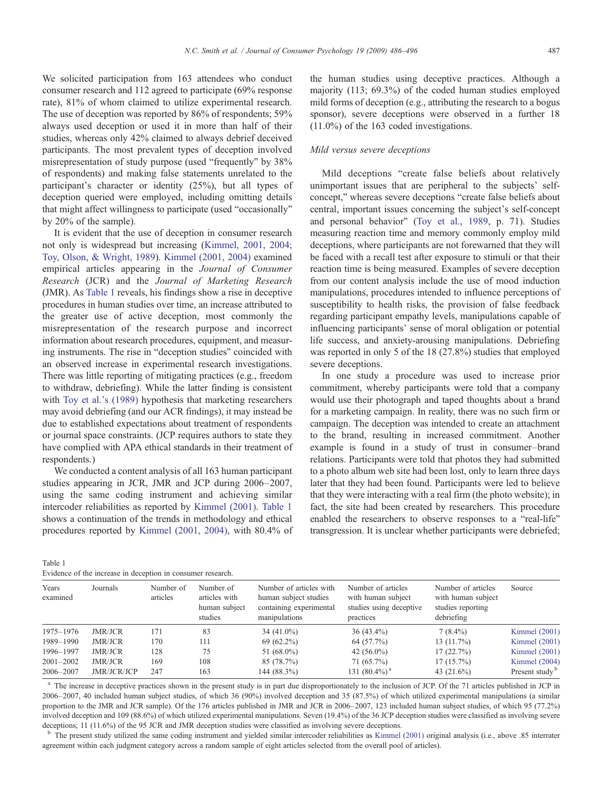We solicited participation from 163 attendees who conduct consumer research and 112 agreed to participate (69% response rate), 81% of whom claimed to utilize experimental research. The use of deception was reported by 86% of respondents; 59% always used deception or used it in more than half of their studies, whereas only 42% claimed to always debrief deceived participants. The most prevalent types of deception involved misrepresentation of study purpose (used "frequently" by 38% of respondents) and making false statements unrelated to the participant's character or identity (25%), but all types of deception queried were employed, including omitting details that might affect willingness to participate (used "occasionally" by 20% of the sample).

It is evident that the use of deception in consumer research not only is widespread but increasing [\(Kimmel, 2001, 2004;](#page--1-0) [Toy, Olson, & Wright, 1989\)](#page--1-0). [Kimmel \(2001, 2004\)](#page--1-0) examined empirical articles appearing in the Journal of Consumer Research (JCR) and the Journal of Marketing Research (JMR). As Table 1 reveals, his findings show a rise in deceptive procedures in human studies over time, an increase attributed to the greater use of active deception, most commonly the misrepresentation of the research purpose and incorrect information about research procedures, equipment, and measuring instruments. The rise in "deception studies" coincided with an observed increase in experimental research investigations. There was little reporting of mitigating practices (e.g., freedom to withdraw, debriefing). While the latter finding is consistent with [Toy et al.'s \(1989\)](#page--1-0) hypothesis that marketing researchers may avoid debriefing (and our ACR findings), it may instead be due to established expectations about treatment of respondents or journal space constraints. (JCP requires authors to state they have complied with APA ethical standards in their treatment of respondents.)

We conducted a content analysis of all 163 human participant studies appearing in JCR, JMR and JCP during 2006–2007, using the same coding instrument and achieving similar intercoder reliabilities as reported by [Kimmel \(2001\)](#page--1-0). Table 1 shows a continuation of the trends in methodology and ethical procedures reported by [Kimmel \(2001, 2004\)](#page--1-0), with 80.4% of the human studies using deceptive practices. Although a majority (113; 69.3%) of the coded human studies employed mild forms of deception (e.g., attributing the research to a bogus sponsor), severe deceptions were observed in a further 18 (11.0%) of the 163 coded investigations.

### Mild versus severe deceptions

Mild deceptions "create false beliefs about relatively unimportant issues that are peripheral to the subjects' selfconcept," whereas severe deceptions "create false beliefs about central, important issues concerning the subject's self-concept and personal behavior" ([Toy et al., 1989](#page--1-0), p. 71). Studies measuring reaction time and memory commonly employ mild deceptions, where participants are not forewarned that they will be faced with a recall test after exposure to stimuli or that their reaction time is being measured. Examples of severe deception from our content analysis include the use of mood induction manipulations, procedures intended to influence perceptions of susceptibility to health risks, the provision of false feedback regarding participant empathy levels, manipulations capable of influencing participants' sense of moral obligation or potential life success, and anxiety-arousing manipulations. Debriefing was reported in only 5 of the 18 (27.8%) studies that employed severe deceptions.

In one study a procedure was used to increase prior commitment, whereby participants were told that a company would use their photograph and taped thoughts about a brand for a marketing campaign. In reality, there was no such firm or campaign. The deception was intended to create an attachment to the brand, resulting in increased commitment. Another example is found in a study of trust in consumer–brand relations. Participants were told that photos they had submitted to a photo album web site had been lost, only to learn three days later that they had been found. Participants were led to believe that they were interacting with a real firm (the photo website); in fact, the site had been created by researchers. This procedure enabled the researchers to observe responses to a "real-life" transgression. It is unclear whether participants were debriefed;

| Table 1 |  |  |                                                             |  |
|---------|--|--|-------------------------------------------------------------|--|
|         |  |  | Evidence of the increase in deception in consumer research. |  |

| Years<br>examined | Journals       | Number of<br>articles | Number of<br>articles with<br>human subject<br>studies | Number of articles with<br>human subject studies<br>containing experimental<br>manipulations | Number of articles<br>with human subject<br>studies using deceptive<br>practices | Number of articles<br>with human subject<br>studies reporting<br>debriefing | Source                     |
|-------------------|----------------|-----------------------|--------------------------------------------------------|----------------------------------------------------------------------------------------------|----------------------------------------------------------------------------------|-----------------------------------------------------------------------------|----------------------------|
| 1975-1976         | JMR/JCR        | 171                   | 83                                                     | $34(41.0\%)$                                                                                 | $36(43.4\%)$                                                                     | $7(8.4\%)$                                                                  | Kimmel $(2001)$            |
| 1989-1990         | JMR/JCR        | 170                   | 111                                                    | $69(62.2\%)$                                                                                 | 64 (57.7%)                                                                       | $13(11.7\%)$                                                                | Kimmel $(2001)$            |
| 1996-1997         | JMR/JCR        | 128                   | 75                                                     | 51 $(68.0\%)$                                                                                | 42 $(56.0\%)$                                                                    | 17(22.7%)                                                                   | Kimmel $(2001)$            |
| $2001 - 2002$     | <b>JMR/JCR</b> | 169                   | 108                                                    | 85 (78.7%)                                                                                   | $71(65.7\%)$                                                                     | $17(15.7\%)$                                                                | Kimmel $(2004)$            |
| 2006-2007         | JMR/JCR/JCP    | 247                   | 163                                                    | 144 (88.3%)                                                                                  | 131 $(80.4\%)$ <sup>a</sup>                                                      | 43 $(21.6\%)$                                                               | Present study <sup>b</sup> |

<sup>a</sup> The increase in deceptive practices shown in the present study is in part due disproportionately to the inclusion of JCP. Of the 71 articles published in JCP in 2006–2007, 40 included human subject studies, of which 36 (90%) involved deception and 35 (87.5%) of which utilized experimental manipulations (a similar proportion to the JMR and JCR sample). Of the 176 articles published in JMR and JCR in 2006–2007, 123 included human subject studies, of which 95 (77.2%) involved deception and 109 (88.6%) of which utilized experimental manipulations. Seven (19.4%) of the 36 JCP deception studies were classified as involving severe deceptions; 11 (11.6%) of the 95 JCR and JMR deception studies were classified as involving severe deceptions.

<sup>b</sup> The present study utilized the same coding instrument and yielded similar intercoder reliabilities as [Kimmel \(2001\)](#page--1-0) original analysis (i.e., above .85 interrater agreement within each judgment category across a random sample of eight articles selected from the overall pool of articles).